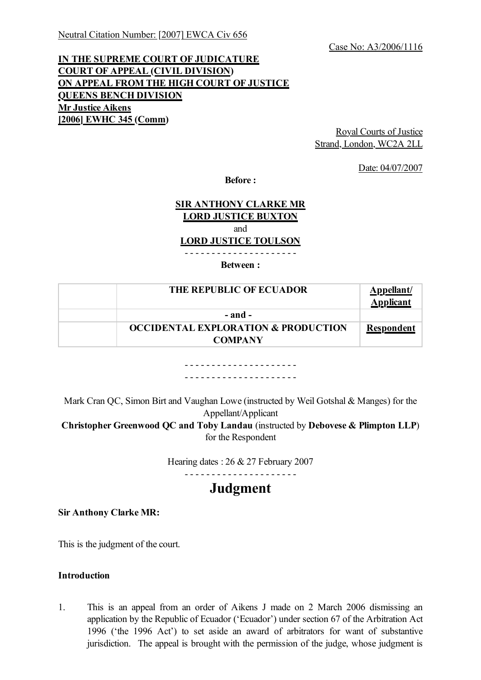Neutral Citation Number: [2007] EWCA Civ 656

Case No: A3/2006/1116

# **IN THE SUPREME COURT OF JUDICATURE COURT OF APPEAL (CIVIL DIVISION) ON APPEAL FROM THE HIGH COURT OF JUSTICE QUEENS BENCH DIVISION Mr Justice Aikens [2006] EWHC 345 (Comm)**

Royal Courts of Justice Strand, London, WC2A 2LL

Date: 04/07/2007

**Before :**

#### **SIR ANTHONY CLARKE MR LORD JUSTICE BUXTON** and

**LORD JUSTICE TOULSON** - - - - - - - - - - - - - - - - - - - - -

**Between :**

| <b>THE REPUBLIC OF ECUADOR</b>                 | <b>Appellant</b><br><b>Applicant</b> |
|------------------------------------------------|--------------------------------------|
| $-$ and $-$                                    |                                      |
| <b>OCCIDENTAL EXPLORATION &amp; PRODUCTION</b> | <b>Respondent</b>                    |
| <b>COMPANY</b>                                 |                                      |

- - - - - - - - - - - - - - - - - - - - - - - - - - - - - - - - - - - - - - - - - -

Mark Cran QC, Simon Birt and Vaughan Lowe (instructed by Weil Gotshal & Manges) for the Appellant/Applicant **Christopher Greenwood QC and Toby Landau** (instructed by **Debovese & Plimpton LLP**) for the Respondent

Hearing dates : 26 & 27 February 2007

- - - - - - - - - - - - - - - - - - - - -

# **Judgment**

#### **Sir Anthony Clarke MR:**

This is the judgment of the court.

#### **Introduction**

1. This is an appeal from an order of Aikens J made on 2 March 2006 dismissing an application by the Republic of Ecuador ('Ecuador') under section 67 of the Arbitration Act 1996 ('the 1996 Act') to set aside an award of arbitrators for want of substantive jurisdiction. The appeal is brought with the permission of the judge, whose judgment is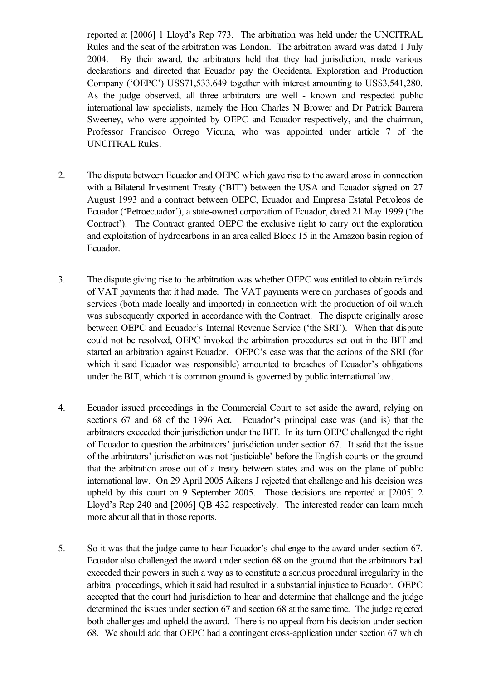reported at [2006] 1 Lloyd's Rep 773. The arbitration was held under the UNCITRAL Rules and the seat of the arbitration was London. The arbitration award was dated 1 July 2004. By their award, the arbitrators held that they had jurisdiction, made various declarations and directed that Ecuador pay the Occidental Exploration and Production Company ('OEPC') US\$71,533,649 together with interest amounting to US\$3,541,280. As the judge observed, all three arbitrators are well - known and respected public international law specialists, namely the Hon Charles N Brower and Dr Patrick Barrera Sweeney, who were appointed by OEPC and Ecuador respectively, and the chairman, Professor Francisco Orrego Vicuna, who was appointed under article 7 of the UNCITRAL Rules.

- 2. The dispute between Ecuador and OEPC which gave rise to the award arose in connection with a Bilateral Investment Treaty ('BIT') between the USA and Ecuador signed on 27 August 1993 and a contract between OEPC, Ecuador and Empresa Estatal Petroleos de Ecuador ('Petroecuador'), a state-owned corporation of Ecuador, dated 21 May 1999 ('the Contract'). The Contract granted OEPC the exclusive right to carry out the exploration and exploitation of hydrocarbons in an area called Block 15 in the Amazon basin region of Ecuador.
- 3. The dispute giving rise to the arbitration was whether OEPC was entitled to obtain refunds of VAT payments that it had made. The VAT payments were on purchases of goods and services (both made locally and imported) in connection with the production of oil which was subsequently exported in accordance with the Contract. The dispute originally arose between OEPC and Ecuador's Internal Revenue Service ('the SRI'). When that dispute could not be resolved, OEPC invoked the arbitration procedures set out in the BIT and started an arbitration against Ecuador. OEPC's case was that the actions of the SRI (for which it said Ecuador was responsible) amounted to breaches of Ecuador's obligations under the BIT, which it is common ground is governed by public international law.
- 4. Ecuador issued proceedings in the Commercial Court to set aside the award, relying on sections 67 and 68 of the 1996 Act*.* Ecuador's principal case was (and is) that the arbitrators exceeded their jurisdiction under the BIT. In its turn OEPC challenged the right of Ecuador to question the arbitrators' jurisdiction under section 67. It said that the issue of the arbitrators' jurisdiction was not 'justiciable' before the English courts on the ground that the arbitration arose out of a treaty between states and was on the plane of public international law. On 29 April 2005 Aikens J rejected that challenge and his decision was upheld by this court on 9 September 2005. Those decisions are reported at [2005] 2 Lloyd's Rep 240 and [2006] QB 432 respectively. The interested reader can learn much more about all that in those reports.
- 5. So it was that the judge came to hear Ecuador's challenge to the award under section 67. Ecuador also challenged the award under section 68 on the ground that the arbitrators had exceeded their powers in such a way as to constitute a serious procedural irregularity in the arbitral proceedings, which it said had resulted in a substantial injustice to Ecuador. OEPC accepted that the court had jurisdiction to hear and determine that challenge and the judge determined the issues under section 67 and section 68 at the same time. The judge rejected both challenges and upheld the award. There is no appeal from his decision under section 68. We should add that OEPC had a contingent cross-application under section 67 which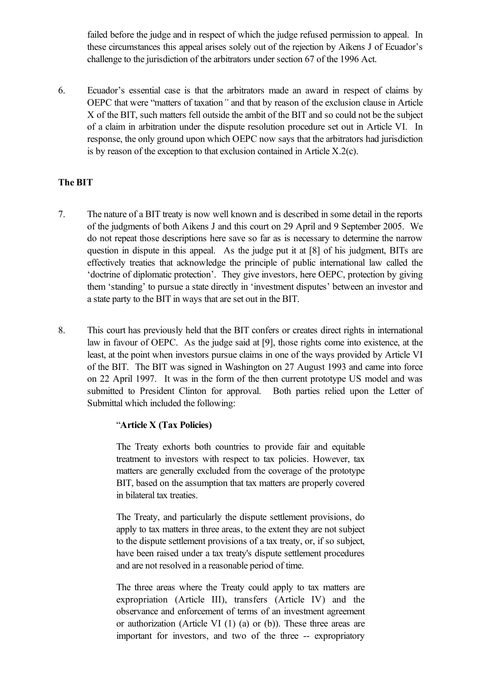failed before the judge and in respect of which the judge refused permission to appeal. In these circumstances this appeal arises solely out of the rejection by Aikens J of Ecuador's challenge to the jurisdiction of the arbitrators under section 67 of the 1996 Act.

6. Ecuador's essential case is that the arbitrators made an award in respect of claims by OEPC that were "matters of taxation*"* and that by reason of the exclusion clause in Article X of the BIT, such matters fell outside the ambit of the BIT and so could not be the subject of a claim in arbitration under the dispute resolution procedure set out in Article VI. In response, the only ground upon which OEPC now says that the arbitrators had jurisdiction is by reason of the exception to that exclusion contained in Article X.2(c).

## **The BIT**

- 7. The nature of a BIT treaty is now well known and is described in some detail in the reports of the judgments of both Aikens J and this court on 29 April and 9 September 2005. We do not repeat those descriptions here save so far as is necessary to determine the narrow question in dispute in this appeal. As the judge put it at [8] of his judgment, BITs are effectively treaties that acknowledge the principle of public international law called the 'doctrine of diplomatic protection'. They give investors, here OEPC, protection by giving them 'standing' to pursue a state directly in 'investment disputes' between an investor and a state party to the BIT in ways that are set out in the BIT.
- 8. This court has previously held that the BIT confers or creates direct rights in international law in favour of OEPC. As the judge said at [9], those rights come into existence, at the least, at the point when investors pursue claims in one of the ways provided by Article VI of the BIT. The BIT was signed in Washington on 27 August 1993 and came into force on 22 April 1997. It was in the form of the then current prototype US model and was submitted to President Clinton for approval. Both parties relied upon the Letter of Submittal which included the following:

### "**Article X (Tax Policies)**

The Treaty exhorts both countries to provide fair and equitable treatment to investors with respect to tax policies. However, tax matters are generally excluded from the coverage of the prototype BIT, based on the assumption that tax matters are properly covered in bilateral tax treaties.

The Treaty, and particularly the dispute settlement provisions, do apply to tax matters in three areas, to the extent they are not subject to the dispute settlement provisions of a tax treaty, or, if so subject, have been raised under a tax treaty's dispute settlement procedures and are not resolved in a reasonable period of time.

The three areas where the Treaty could apply to tax matters are expropriation (Article III), transfers (Article IV) and the observance and enforcement of terms of an investment agreement or authorization (Article VI (1) (a) or (b)). These three areas are important for investors, and two of the three -- expropriatory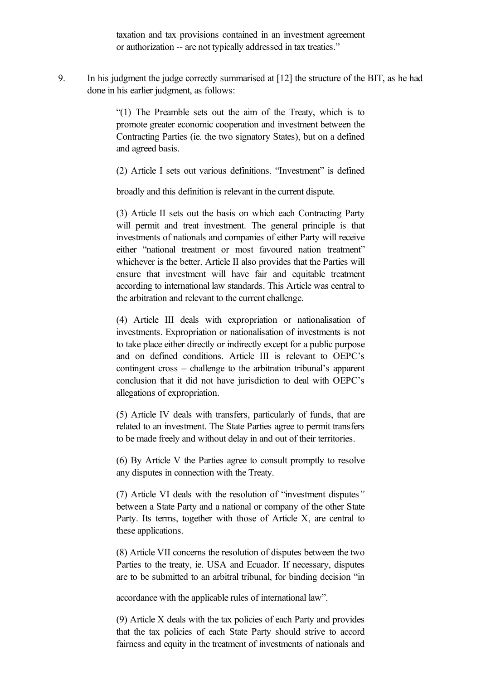taxation and tax provisions contained in an investment agreement or authorization -- are not typically addressed in tax treaties."

9. In his judgment the judge correctly summarised at [12] the structure of the BIT, as he had done in his earlier judgment, as follows:

> "(1) The Preamble sets out the aim of the Treaty, which is to promote greater economic cooperation and investment between the Contracting Parties (ie. the two signatory States), but on a defined and agreed basis.

> (2) Article I sets out various definitions. "Investment" is defined

broadly and this definition is relevant in the current dispute.

(3) Article II sets out the basis on which each Contracting Party will permit and treat investment. The general principle is that investments of nationals and companies of either Party will receive either "national treatment or most favoured nation treatment" whichever is the better. Article II also provides that the Parties will ensure that investment will have fair and equitable treatment according to international law standards. This Article was central to the arbitration and relevant to the current challenge.

(4) Article III deals with expropriation or nationalisation of investments. Expropriation or nationalisation of investments is not to take place either directly or indirectly except for a public purpose and on defined conditions. Article III is relevant to OEPC's contingent cross – challenge to the arbitration tribunal's apparent conclusion that it did not have jurisdiction to deal with OEPC's allegations of expropriation.

(5) Article IV deals with transfers, particularly of funds, that are related to an investment. The State Parties agree to permit transfers to be made freely and without delay in and out of their territories.

(6) By Article V the Parties agree to consult promptly to resolve any disputes in connection with the Treaty.

(7) Article VI deals with the resolution of "investment disputes*"*  between a State Party and a national or company of the other State Party. Its terms, together with those of Article X, are central to these applications.

(8) Article VII concerns the resolution of disputes between the two Parties to the treaty, ie. USA and Ecuador. If necessary, disputes are to be submitted to an arbitral tribunal, for binding decision "in

accordance with the applicable rules of international law".

(9) Article X deals with the tax policies of each Party and provides that the tax policies of each State Party should strive to accord fairness and equity in the treatment of investments of nationals and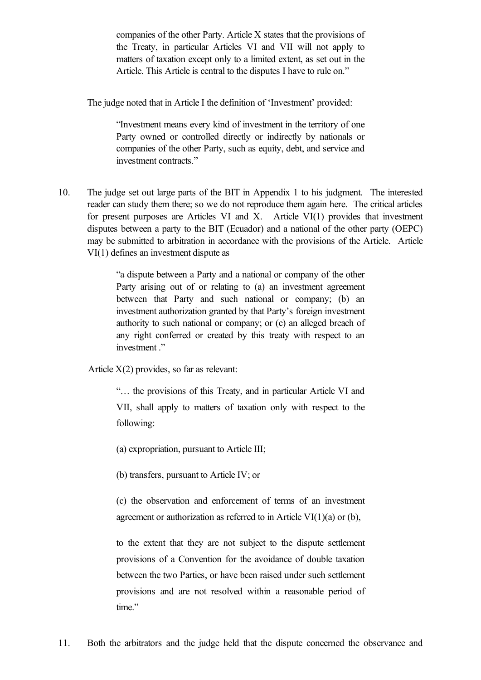companies of the other Party. Article X states that the provisions of the Treaty, in particular Articles VI and VII will not apply to matters of taxation except only to a limited extent, as set out in the Article. This Article is central to the disputes I have to rule on."

The judge noted that in Article I the definition of 'Investment' provided:

"Investment means every kind of investment in the territory of one Party owned or controlled directly or indirectly by nationals or companies of the other Party, such as equity, debt, and service and investment contracts."

10. The judge set out large parts of the BIT in Appendix 1 to his judgment. The interested reader can study them there; so we do not reproduce them again here. The critical articles for present purposes are Articles VI and X. Article VI(1) provides that investment disputes between a party to the BIT (Ecuador) and a national of the other party (OEPC) may be submitted to arbitration in accordance with the provisions of the Article. Article VI(1) defines an investment dispute as

> "a dispute between a Party and a national or company of the other Party arising out of or relating to (a) an investment agreement between that Party and such national or company; (b) an investment authorization granted by that Party's foreign investment authority to such national or company; or (c) an alleged breach of any right conferred or created by this treaty with respect to an investment ."

Article X(2) provides, so far as relevant:

"… the provisions of this Treaty, and in particular Article VI and VII, shall apply to matters of taxation only with respect to the following:

(a) expropriation, pursuant to Article III;

(b) transfers, pursuant to Article IV; or

(c) the observation and enforcement of terms of an investment agreement or authorization as referred to in Article VI $(1)(a)$  or  $(b)$ ,

to the extent that they are not subject to the dispute settlement provisions of a Convention for the avoidance of double taxation between the two Parties, or have been raised under such settlement provisions and are not resolved within a reasonable period of time"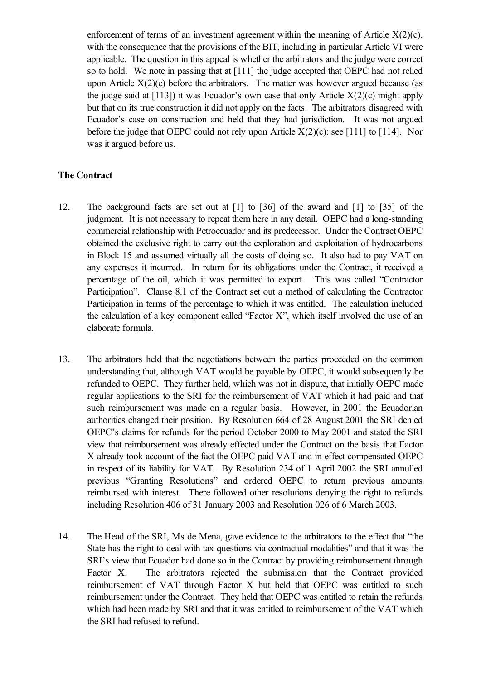enforcement of terms of an investment agreement within the meaning of Article  $X(2)(c)$ , with the consequence that the provisions of the BIT, including in particular Article VI were applicable. The question in this appeal is whether the arbitrators and the judge were correct so to hold. We note in passing that at [111] the judge accepted that OEPC had not relied upon Article  $X(2)(c)$  before the arbitrators. The matter was however argued because (as the judge said at  $[113]$ ) it was Ecuador's own case that only Article  $X(2)(c)$  might apply but that on its true construction it did not apply on the facts. The arbitrators disagreed with Ecuador's case on construction and held that they had jurisdiction. It was not argued before the judge that OEPC could not rely upon Article  $X(2)(c)$ : see [111] to [114]. Nor was it argued before us.

### **The Contract**

- 12. The background facts are set out at [1] to [36] of the award and [1] to [35] of the judgment. It is not necessary to repeat them here in any detail. OEPC had a long-standing commercial relationship with Petroecuador and its predecessor. Under the Contract OEPC obtained the exclusive right to carry out the exploration and exploitation of hydrocarbons in Block 15 and assumed virtually all the costs of doing so. It also had to pay VAT on any expenses it incurred. In return for its obligations under the Contract, it received a percentage of the oil, which it was permitted to export. This was called "Contractor Participation". Clause 8.1 of the Contract set out a method of calculating the Contractor Participation in terms of the percentage to which it was entitled. The calculation included the calculation of a key component called "Factor X", which itself involved the use of an elaborate formula.
- 13. The arbitrators held that the negotiations between the parties proceeded on the common understanding that, although VAT would be payable by OEPC, it would subsequently be refunded to OEPC. They further held, which was not in dispute, that initially OEPC made regular applications to the SRI for the reimbursement of VAT which it had paid and that such reimbursement was made on a regular basis. However, in 2001 the Ecuadorian authorities changed their position. By Resolution 664 of 28 August 2001 the SRI denied OEPC's claims for refunds for the period October 2000 to May 2001 and stated the SRI view that reimbursement was already effected under the Contract on the basis that Factor X already took account of the fact the OEPC paid VAT and in effect compensated OEPC in respect of its liability for VAT. By Resolution 234 of 1 April 2002 the SRI annulled previous "Granting Resolutions" and ordered OEPC to return previous amounts reimbursed with interest. There followed other resolutions denying the right to refunds including Resolution 406 of 31 January 2003 and Resolution 026 of 6 March 2003.
- 14. The Head of the SRI, Ms de Mena, gave evidence to the arbitrators to the effect that "the State has the right to deal with tax questions via contractual modalities" and that it was the SRI's view that Ecuador had done so in the Contract by providing reimbursement through Factor X. The arbitrators rejected the submission that the Contract provided reimbursement of VAT through Factor X but held that OEPC was entitled to such reimbursement under the Contract. They held that OEPC was entitled to retain the refunds which had been made by SRI and that it was entitled to reimbursement of the VAT which the SRI had refused to refund.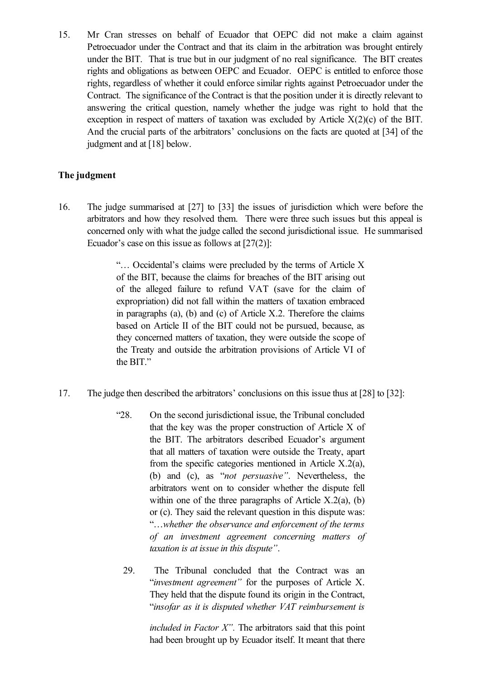15. Mr Cran stresses on behalf of Ecuador that OEPC did not make a claim against Petroecuador under the Contract and that its claim in the arbitration was brought entirely under the BIT. That is true but in our judgment of no real significance. The BIT creates rights and obligations as between OEPC and Ecuador. OEPC is entitled to enforce those rights, regardless of whether it could enforce similar rights against Petroecuador under the Contract. The significance of the Contract is that the position under it is directly relevant to answering the critical question, namely whether the judge was right to hold that the exception in respect of matters of taxation was excluded by Article X(2)(c) of the BIT. And the crucial parts of the arbitrators' conclusions on the facts are quoted at [34] of the judgment and at [18] below.

## **The judgment**

16. The judge summarised at [27] to [33] the issues of jurisdiction which were before the arbitrators and how they resolved them. There were three such issues but this appeal is concerned only with what the judge called the second jurisdictional issue. He summarised Ecuador's case on this issue as follows at  $[27(2)]$ :

> "… Occidental's claims were precluded by the terms of Article X of the BIT, because the claims for breaches of the BIT arising out of the alleged failure to refund VAT (save for the claim of expropriation) did not fall within the matters of taxation embraced in paragraphs  $(a)$ ,  $(b)$  and  $(c)$  of Article X.2. Therefore the claims based on Article II of the BIT could not be pursued, because, as they concerned matters of taxation, they were outside the scope of the Treaty and outside the arbitration provisions of Article VI of the BIT."

- 17. The judge then described the arbitrators' conclusions on this issue thus at [28] to [32]:
	- "28. On the second jurisdictional issue, the Tribunal concluded that the key was the proper construction of Article X of the BIT. The arbitrators described Ecuador's argument that all matters of taxation were outside the Treaty, apart from the specific categories mentioned in Article X.2(a), (b) and (c), as "*not persuasive"*. Nevertheless, the arbitrators went on to consider whether the dispute fell within one of the three paragraphs of Article X.2(a), (b) or (c). They said the relevant question in this dispute was: "…*whether the observance and enforcement of the terms of an investment agreement concerning matters of taxation is at issue in this dispute"*.
		- 29. The Tribunal concluded that the Contract was an "*investment agreement"* for the purposes of Article X. They held that the dispute found its origin in the Contract, "*insofar as it is disputed whether VAT reimbursement is*

*included in Factor X".* The arbitrators said that this point had been brought up by Ecuador itself. It meant that there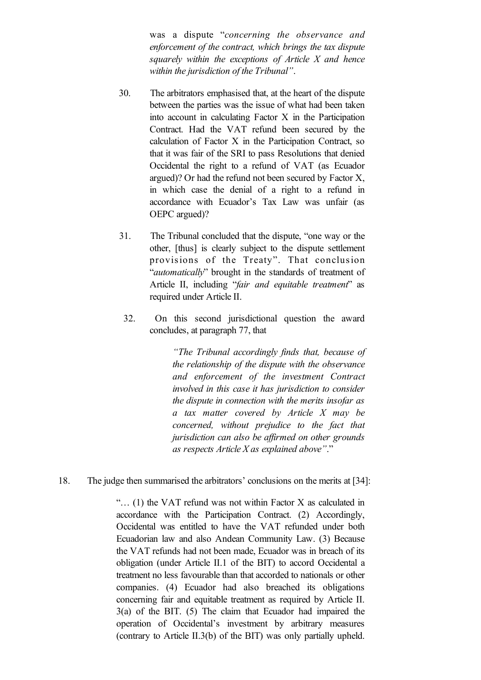was a dispute "*concerning the observance and enforcement of the contract, which brings the tax dispute squarely within the exceptions of Article X and hence within the jurisdiction of the Tribunal"*.

- 30. The arbitrators emphasised that, at the heart of the dispute between the parties was the issue of what had been taken into account in calculating Factor X in the Participation Contract. Had the VAT refund been secured by the calculation of Factor X in the Participation Contract, so that it was fair of the SRI to pass Resolutions that denied Occidental the right to a refund of VAT (as Ecuador argued)? Or had the refund not been secured by Factor X, in which case the denial of a right to a refund in accordance with Ecuador's Tax Law was unfair (as OEPC argued)?
- 31. The Tribunal concluded that the dispute, "one way or the other, [thus] is clearly subject to the dispute settlement provisions of the Treaty". That conclusion "*automatically*" brought in the standards of treatment of Article II, including "*fair and equitable treatment*" as required under Article II.
- 32. On this second jurisdictional question the award concludes, at paragraph 77, that

*"The Tribunal accordingly finds that, because of the relationship of the dispute with the observance and enforcement of the investment Contract involved in this case it has jurisdiction to consider the dispute in connection with the merits insofar as a tax matter covered by Article X may be concerned, without prejudice to the fact that jurisdiction can also be affirmed on other grounds as respects Article X as explained above"*."

18. The judge then summarised the arbitrators' conclusions on the merits at [34]:

"… (1) the VAT refund was not within Factor X as calculated in accordance with the Participation Contract. (2) Accordingly, Occidental was entitled to have the VAT refunded under both Ecuadorian law and also Andean Community Law. (3) Because the VAT refunds had not been made, Ecuador was in breach of its obligation (under Article II.1 of the BIT) to accord Occidental a treatment no less favourable than that accorded to nationals or other companies. (4) Ecuador had also breached its obligations concerning fair and equitable treatment as required by Article II. 3(a) of the BIT. (5) The claim that Ecuador had impaired the operation of Occidental's investment by arbitrary measures (contrary to Article II.3(b) of the BIT) was only partially upheld.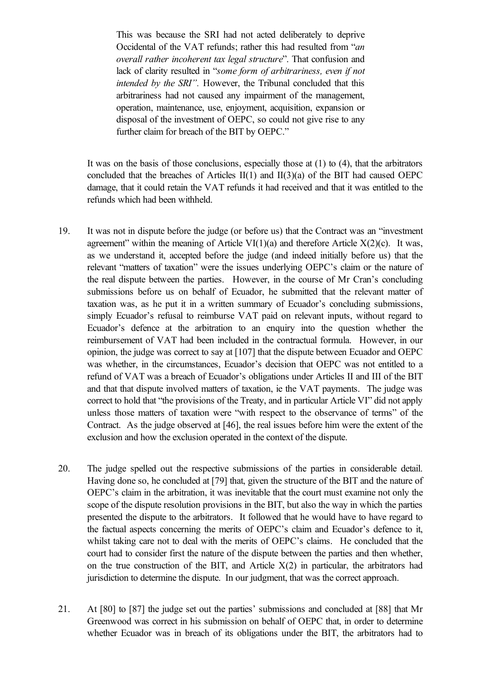This was because the SRI had not acted deliberately to deprive Occidental of the VAT refunds; rather this had resulted from "*an overall rather incoherent tax legal structure*". That confusion and lack of clarity resulted in "*some form of arbitrariness, even if not intended by the SRI".* However, the Tribunal concluded that this arbitrariness had not caused any impairment of the management, operation, maintenance, use, enjoyment, acquisition, expansion or disposal of the investment of OEPC, so could not give rise to any further claim for breach of the BIT by OEPC."

It was on the basis of those conclusions, especially those at (1) to (4), that the arbitrators concluded that the breaches of Articles II(1) and II(3)(a) of the BIT had caused OEPC damage, that it could retain the VAT refunds it had received and that it was entitled to the refunds which had been withheld.

- 19. It was not in dispute before the judge (or before us) that the Contract was an "investment agreement" within the meaning of Article VI(1)(a) and therefore Article  $X(2)(c)$ . It was, as we understand it, accepted before the judge (and indeed initially before us) that the relevant "matters of taxation" were the issues underlying OEPC's claim or the nature of the real dispute between the parties. However, in the course of Mr Cran's concluding submissions before us on behalf of Ecuador, he submitted that the relevant matter of taxation was, as he put it in a written summary of Ecuador's concluding submissions, simply Ecuador's refusal to reimburse VAT paid on relevant inputs, without regard to Ecuador's defence at the arbitration to an enquiry into the question whether the reimbursement of VAT had been included in the contractual formula. However, in our opinion, the judge was correct to say at [107] that the dispute between Ecuador and OEPC was whether, in the circumstances, Ecuador's decision that OEPC was not entitled to a refund of VAT was a breach of Ecuador's obligations under Articles II and III of the BIT and that that dispute involved matters of taxation, ie the VAT payments. The judge was correct to hold that "the provisions of the Treaty, and in particular Article VI" did not apply unless those matters of taxation were "with respect to the observance of terms" of the Contract. As the judge observed at [46], the real issues before him were the extent of the exclusion and how the exclusion operated in the context of the dispute.
- 20. The judge spelled out the respective submissions of the parties in considerable detail. Having done so, he concluded at [79] that, given the structure of the BIT and the nature of OEPC's claim in the arbitration, it was inevitable that the court must examine not only the scope of the dispute resolution provisions in the BIT, but also the way in which the parties presented the dispute to the arbitrators. It followed that he would have to have regard to the factual aspects concerning the merits of OEPC's claim and Ecuador's defence to it, whilst taking care not to deal with the merits of OEPC's claims. He concluded that the court had to consider first the nature of the dispute between the parties and then whether, on the true construction of the BIT, and Article  $X(2)$  in particular, the arbitrators had jurisdiction to determine the dispute. In our judgment, that was the correct approach.
- 21. At [80] to [87] the judge set out the parties' submissions and concluded at [88] that Mr Greenwood was correct in his submission on behalf of OEPC that, in order to determine whether Ecuador was in breach of its obligations under the BIT, the arbitrators had to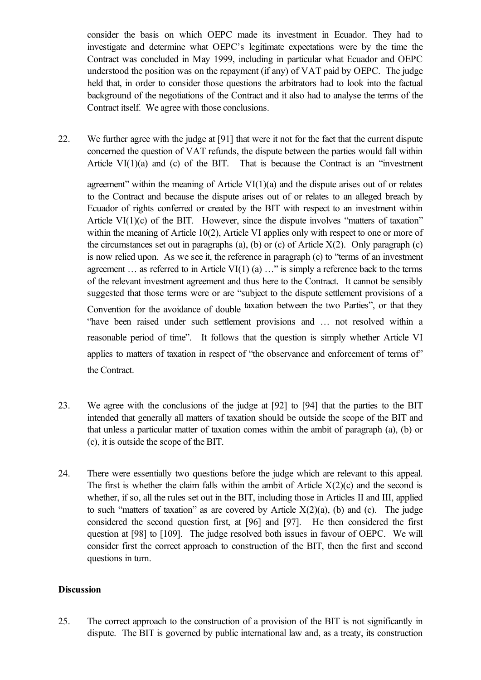consider the basis on which OEPC made its investment in Ecuador. They had to investigate and determine what OEPC's legitimate expectations were by the time the Contract was concluded in May 1999, including in particular what Ecuador and OEPC understood the position was on the repayment (if any) of VAT paid by OEPC. The judge held that, in order to consider those questions the arbitrators had to look into the factual background of the negotiations of the Contract and it also had to analyse the terms of the Contract itself. We agree with those conclusions.

22. We further agree with the judge at [91] that were it not for the fact that the current dispute concerned the question of VAT refunds, the dispute between the parties would fall within Article  $VI(1)(a)$  and (c) of the BIT. That is because the Contract is an "investment"

agreement" within the meaning of Article VI $(1)(a)$  and the dispute arises out of or relates to the Contract and because the dispute arises out of or relates to an alleged breach by Ecuador of rights conferred or created by the BIT with respect to an investment within Article VI(1)(c) of the BIT. However, since the dispute involves "matters of taxation" within the meaning of Article 10(2), Article VI applies only with respect to one or more of the circumstances set out in paragraphs (a), (b) or (c) of Article  $X(2)$ . Only paragraph (c) is now relied upon. As we see it, the reference in paragraph (c) to "terms of an investment agreement  $\ldots$  as referred to in Article VI(1) (a)  $\ldots$ " is simply a reference back to the terms of the relevant investment agreement and thus here to the Contract. It cannot be sensibly suggested that those terms were or are "subject to the dispute settlement provisions of a Convention for the avoidance of double taxation between the two Parties", or that they "have been raised under such settlement provisions and … not resolved within a reasonable period of time". It follows that the question is simply whether Article VI applies to matters of taxation in respect of "the observance and enforcement of terms of" the Contract.

- 23. We agree with the conclusions of the judge at [92] to [94] that the parties to the BIT intended that generally all matters of taxation should be outside the scope of the BIT and that unless a particular matter of taxation comes within the ambit of paragraph (a), (b) or (c), it is outside the scope of the BIT.
- 24. There were essentially two questions before the judge which are relevant to this appeal. The first is whether the claim falls within the ambit of Article  $X(2)(c)$  and the second is whether, if so, all the rules set out in the BIT, including those in Articles II and III, applied to such "matters of taxation" as are covered by Article  $X(2)(a)$ , (b) and (c). The judge considered the second question first, at [96] and [97]. He then considered the first question at [98] to [109]. The judge resolved both issues in favour of OEPC. We will consider first the correct approach to construction of the BIT, then the first and second questions in turn.

### **Discussion**

25. The correct approach to the construction of a provision of the BIT is not significantly in dispute. The BIT is governed by public international law and, as a treaty, its construction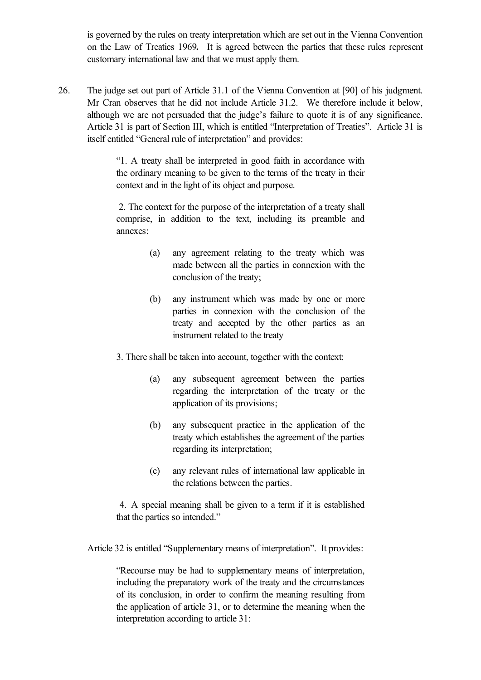is governed by the rules on treaty interpretation which are set out in the Vienna Convention on the Law of Treaties 1969*.* It is agreed between the parties that these rules represent customary international law and that we must apply them.

26. The judge set out part of Article 31.1 of the Vienna Convention at [90] of his judgment. Mr Cran observes that he did not include Article 31.2. We therefore include it below, although we are not persuaded that the judge's failure to quote it is of any significance. Article 31 is part of Section III, which is entitled "Interpretation of Treaties". Article 31 is itself entitled "General rule of interpretation" and provides:

> "1. A treaty shall be interpreted in good faith in accordance with the ordinary meaning to be given to the terms of the treaty in their context and in the light of its object and purpose.

> 2. The context for the purpose of the interpretation of a treaty shall comprise, in addition to the text, including its preamble and annexes:

- (a) any agreement relating to the treaty which was made between all the parties in connexion with the conclusion of the treaty;
- (b) any instrument which was made by one or more parties in connexion with the conclusion of the treaty and accepted by the other parties as an instrument related to the treaty
- 3. There shall be taken into account, together with the context:
	- (a) any subsequent agreement between the parties regarding the interpretation of the treaty or the application of its provisions;
	- (b) any subsequent practice in the application of the treaty which establishes the agreement of the parties regarding its interpretation;
	- (c) any relevant rules of international law applicable in the relations between the parties.

 4. A special meaning shall be given to a term if it is established that the parties so intended."

Article 32 is entitled "Supplementary means of interpretation". It provides:

"Recourse may be had to supplementary means of interpretation, including the preparatory work of the treaty and the circumstances of its conclusion, in order to confirm the meaning resulting from the application of article 31, or to determine the meaning when the interpretation according to article 31: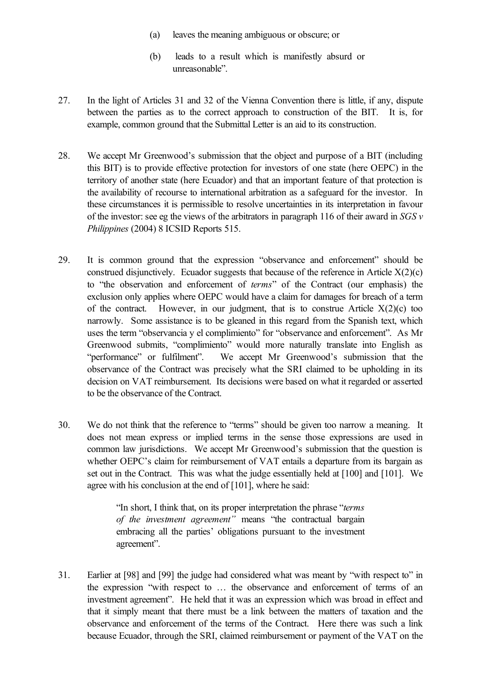- (a) leaves the meaning ambiguous or obscure; or
- (b) leads to a result which is manifestly absurd or unreasonable".
- 27. In the light of Articles 31 and 32 of the Vienna Convention there is little, if any, dispute between the parties as to the correct approach to construction of the BIT. It is, for example, common ground that the Submittal Letter is an aid to its construction.
- 28. We accept Mr Greenwood's submission that the object and purpose of a BIT (including this BIT) is to provide effective protection for investors of one state (here OEPC) in the territory of another state (here Ecuador) and that an important feature of that protection is the availability of recourse to international arbitration as a safeguard for the investor. In these circumstances it is permissible to resolve uncertainties in its interpretation in favour of the investor: see eg the views of the arbitrators in paragraph 116 of their award in *SGS v Philippines* (2004) 8 ICSID Reports 515.
- 29. It is common ground that the expression "observance and enforcement" should be construed disjunctively. Ecuador suggests that because of the reference in Article  $X(2)(c)$ to "the observation and enforcement of *terms*" of the Contract (our emphasis) the exclusion only applies where OEPC would have a claim for damages for breach of a term of the contract. However, in our judgment, that is to construe Article  $X(2)(c)$  too narrowly. Some assistance is to be gleaned in this regard from the Spanish text, which uses the term "observancia y el complimiento" for "observance and enforcement". As Mr Greenwood submits, "complimiento" would more naturally translate into English as "performance" or fulfilment". We accept Mr Greenwood's submission that the observance of the Contract was precisely what the SRI claimed to be upholding in its decision on VAT reimbursement. Its decisions were based on what it regarded or asserted to be the observance of the Contract.
- 30. We do not think that the reference to "terms" should be given too narrow a meaning. It does not mean express or implied terms in the sense those expressions are used in common law jurisdictions. We accept Mr Greenwood's submission that the question is whether OEPC's claim for reimbursement of VAT entails a departure from its bargain as set out in the Contract. This was what the judge essentially held at [100] and [101]. We agree with his conclusion at the end of [101], where he said:

"In short, I think that, on its proper interpretation the phrase "*terms of the investment agreement"* means "the contractual bargain embracing all the parties' obligations pursuant to the investment agreement".

31. Earlier at [98] and [99] the judge had considered what was meant by "with respect to" in the expression "with respect to … the observance and enforcement of terms of an investment agreement". He held that it was an expression which was broad in effect and that it simply meant that there must be a link between the matters of taxation and the observance and enforcement of the terms of the Contract. Here there was such a link because Ecuador, through the SRI, claimed reimbursement or payment of the VAT on the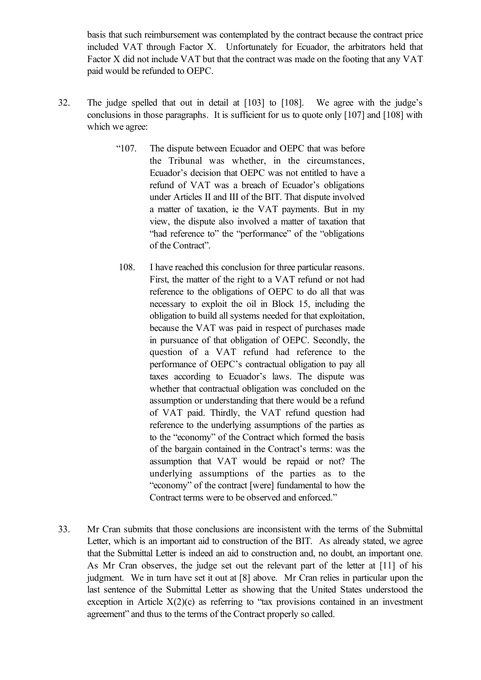basis that such reimbursement was contemplated by the contract because the contract price included VAT through Factor X. Unfortunately for Ecuador, the arbitrators held that Factor X did not include VAT but that the contract was made on the footing that any VAT paid would be refunded to OEPC.

- 32. The judge spelled that out in detail at [103] to [108]. We agree with the judge's conclusions in those paragraphs. It is sufficient for us to quote only [107] and [108] with which we agree:
	- "107. The dispute between Ecuador and OEPC that was before the Tribunal was whether, in the circumstances, Ecuador's decision that OEPC was not entitled to have a refund of VAT was a breach of Ecuador's obligations under Articles II and III of the BIT. That dispute involved a matter of taxation, ie the VAT payments. But in my view, the dispute also involved a matter of taxation that "had reference to" the "performance" of the "obligations" of the Contract".
	- 108. I have reached this conclusion for three particular reasons. First, the matter of the right to a VAT refund or not had reference to the obligations of OEPC to do all that was necessary to exploit the oil in Block 15, including the obligation to build all systems needed for that exploitation, because the VAT was paid in respect of purchases made in pursuance of that obligation of OEPC. Secondly, the question of a VAT refund had reference to the performance of OEPC's contractual obligation to pay all taxes according to Ecuador's laws. The dispute was whether that contractual obligation was concluded on the assumption or understanding that there would be a refund of VAT paid. Thirdly, the VAT refund question had reference to the underlying assumptions of the parties as to the "economy" of the Contract which formed the basis of the bargain contained in the Contract's terms: was the assumption that VAT would be repaid or not? The underlying assumptions of the parties as to the "economy" of the contract [were] fundamental to how the Contract terms were to be observed and enforced."
- 33. Mr Cran submits that those conclusions are inconsistent with the terms of the Submittal Letter, which is an important aid to construction of the BIT. As already stated, we agree that the Submittal Letter is indeed an aid to construction and, no doubt, an important one. As Mr Cran observes, the judge set out the relevant part of the letter at [11] of his judgment. We in turn have set it out at [8] above. Mr Cran relies in particular upon the last sentence of the Submittal Letter as showing that the United States understood the exception in Article  $X(2)(c)$  as referring to "tax provisions contained in an investment agreement" and thus to the terms of the Contract properly so called.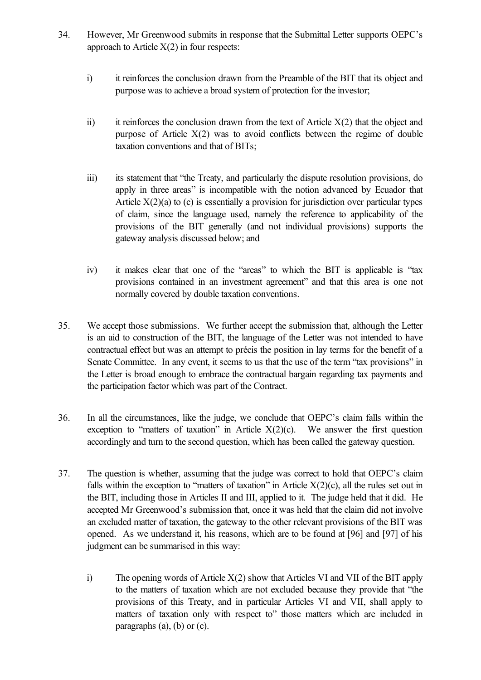- 34. However, Mr Greenwood submits in response that the Submittal Letter supports OEPC's approach to Article  $X(2)$  in four respects:
	- i) it reinforces the conclusion drawn from the Preamble of the BIT that its object and purpose was to achieve a broad system of protection for the investor;
	- ii) it reinforces the conclusion drawn from the text of Article  $X(2)$  that the object and purpose of Article  $X(2)$  was to avoid conflicts between the regime of double taxation conventions and that of BITs;
	- iii) its statement that "the Treaty, and particularly the dispute resolution provisions, do apply in three areas" is incompatible with the notion advanced by Ecuador that Article  $X(2)(a)$  to (c) is essentially a provision for jurisdiction over particular types of claim, since the language used, namely the reference to applicability of the provisions of the BIT generally (and not individual provisions) supports the gateway analysis discussed below; and
	- iv) it makes clear that one of the "areas" to which the BIT is applicable is "tax provisions contained in an investment agreement" and that this area is one not normally covered by double taxation conventions.
- 35. We accept those submissions. We further accept the submission that, although the Letter is an aid to construction of the BIT, the language of the Letter was not intended to have contractual effect but was an attempt to précis the position in lay terms for the benefit of a Senate Committee. In any event, it seems to us that the use of the term "tax provisions" in the Letter is broad enough to embrace the contractual bargain regarding tax payments and the participation factor which was part of the Contract.
- 36. In all the circumstances, like the judge, we conclude that OEPC's claim falls within the exception to "matters of taxation" in Article  $X(2)(c)$ . We answer the first question accordingly and turn to the second question, which has been called the gateway question.
- 37. The question is whether, assuming that the judge was correct to hold that OEPC's claim falls within the exception to "matters of taxation" in Article  $X(2)(c)$ , all the rules set out in the BIT, including those in Articles II and III, applied to it. The judge held that it did. He accepted Mr Greenwood's submission that, once it was held that the claim did not involve an excluded matter of taxation, the gateway to the other relevant provisions of the BIT was opened. As we understand it, his reasons, which are to be found at [96] and [97] of his judgment can be summarised in this way:
	- i) The opening words of Article X(2) show that Articles VI and VII of the BIT apply to the matters of taxation which are not excluded because they provide that "the provisions of this Treaty, and in particular Articles VI and VII, shall apply to matters of taxation only with respect to" those matters which are included in paragraphs (a), (b) or (c).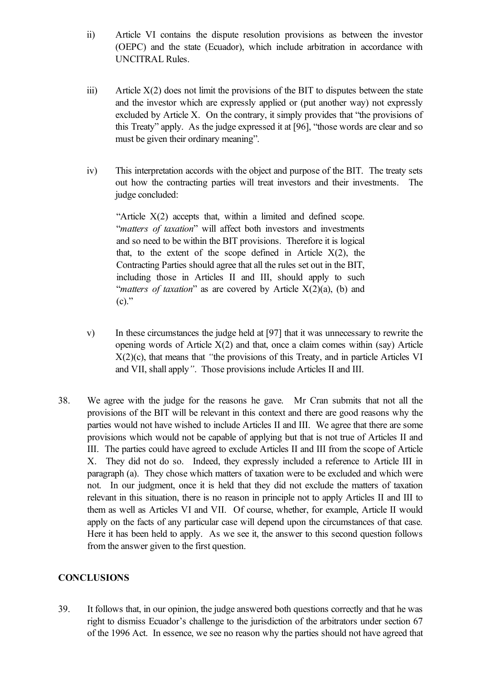- ii) Article VI contains the dispute resolution provisions as between the investor (OEPC) and the state (Ecuador), which include arbitration in accordance with UNCITRAL Rules.
- iii) Article  $X(2)$  does not limit the provisions of the BIT to disputes between the state and the investor which are expressly applied or (put another way) not expressly excluded by Article X. On the contrary, it simply provides that "the provisions of this Treaty" apply. As the judge expressed it at [96], "those words are clear and so must be given their ordinary meaning".
- iv) This interpretation accords with the object and purpose of the BIT. The treaty sets out how the contracting parties will treat investors and their investments. The judge concluded:

"Article X(2) accepts that, within a limited and defined scope. "*matters of taxation*" will affect both investors and investments and so need to be within the BIT provisions. Therefore it is logical that, to the extent of the scope defined in Article  $X(2)$ , the Contracting Parties should agree that all the rules set out in the BIT, including those in Articles II and III, should apply to such "*matters of taxation*" as are covered by Article X(2)(a), (b) and  $(c)$ ."

- v) In these circumstances the judge held at [97] that it was unnecessary to rewrite the opening words of Article  $X(2)$  and that, once a claim comes within (say) Article X(2)(c), that means that *"*the provisions of this Treaty, and in particle Articles VI and VII, shall apply*"*. Those provisions include Articles II and III.
- 38. We agree with the judge for the reasons he gave. Mr Cran submits that not all the provisions of the BIT will be relevant in this context and there are good reasons why the parties would not have wished to include Articles II and III. We agree that there are some provisions which would not be capable of applying but that is not true of Articles II and III. The parties could have agreed to exclude Articles II and III from the scope of Article X. They did not do so. Indeed, they expressly included a reference to Article III in paragraph (a). They chose which matters of taxation were to be excluded and which were not. In our judgment, once it is held that they did not exclude the matters of taxation relevant in this situation, there is no reason in principle not to apply Articles II and III to them as well as Articles VI and VII. Of course, whether, for example, Article II would apply on the facts of any particular case will depend upon the circumstances of that case. Here it has been held to apply. As we see it, the answer to this second question follows from the answer given to the first question.

## **CONCLUSIONS**

39. It follows that, in our opinion, the judge answered both questions correctly and that he was right to dismiss Ecuador's challenge to the jurisdiction of the arbitrators under section 67 of the 1996 Act. In essence, we see no reason why the parties should not have agreed that